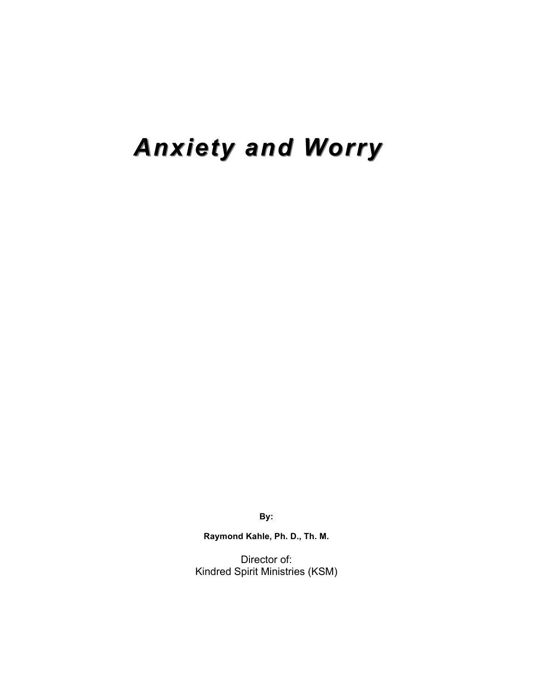# *Anxiety Anxiety and Worry*

**By:**

**Raymond Kahle, Ph. D., Th. M.**

Director of: Kindred Spirit Ministries (KSM)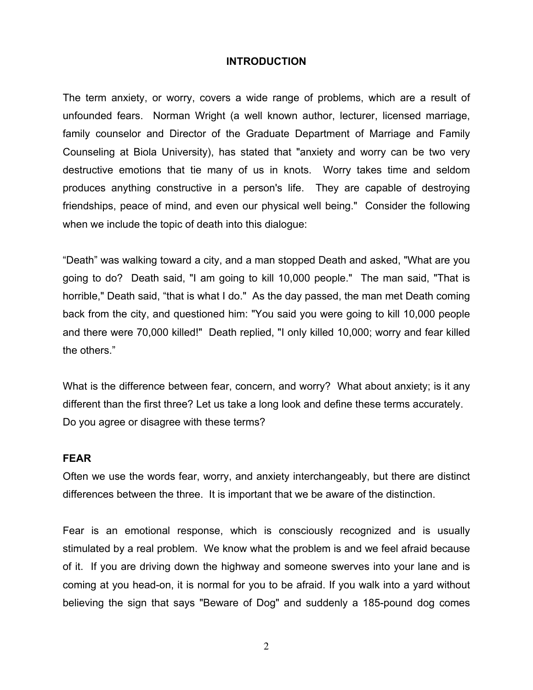#### **INTRODUCTION**

The term anxiety, or worry, covers a wide range of problems, which are a result of unfounded fears. Norman Wright (a well known author, lecturer, licensed marriage, family counselor and Director of the Graduate Department of Marriage and Family Counseling at Biola University), has stated that "anxiety and worry can be two very destructive emotions that tie many of us in knots. Worry takes time and seldom produces anything constructive in a person's life. They are capable of destroying friendships, peace of mind, and even our physical well being." Consider the following when we include the topic of death into this dialogue:

"Death" was walking toward a city, and a man stopped Death and asked, "What are you going to do? Death said, "I am going to kill 10,000 people." The man said, "That is horrible," Death said, "that is what I do." As the day passed, the man met Death coming back from the city, and questioned him: "You said you were going to kill 10,000 people and there were 70,000 killed!" Death replied, "I only killed 10,000; worry and fear killed the others."

What is the difference between fear, concern, and worry? What about anxiety; is it any different than the first three? Let us take a long look and define these terms accurately. Do you agree or disagree with these terms?

#### **FEAR**

Often we use the words fear, worry, and anxiety interchangeably, but there are distinct differences between the three. It is important that we be aware of the distinction.

Fear is an emotional response, which is consciously recognized and is usually stimulated by a real problem. We know what the problem is and we feel afraid because of it. If you are driving down the highway and someone swerves into your lane and is coming at you head-on, it is normal for you to be afraid. If you walk into a yard without believing the sign that says "Beware of Dog" and suddenly a 185-pound dog comes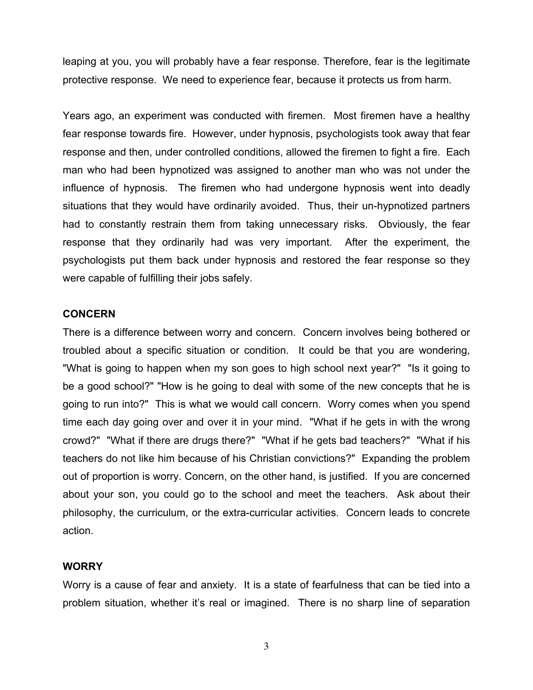leaping at you, you will probably have a fear response. Therefore, fear is the legitimate protective response. We need to experience fear, because it protects us from harm.

Years ago, an experiment was conducted with firemen. Most firemen have a healthy fear response towards fire. However, under hypnosis, psychologists took away that fear response and then, under controlled conditions, allowed the firemen to fight a fire. Each man who had been hypnotized was assigned to another man who was not under the influence of hypnosis. The firemen who had undergone hypnosis went into deadly situations that they would have ordinarily avoided. Thus, their un-hypnotized partners had to constantly restrain them from taking unnecessary risks. Obviously, the fear response that they ordinarily had was very important. After the experiment, the psychologists put them back under hypnosis and restored the fear response so they were capable of fulfilling their jobs safely.

#### **CONCERN**

There is a difference between worry and concern. Concern involves being bothered or troubled about a specific situation or condition. It could be that you are wondering, "What is going to happen when my son goes to high school next year?" "Is it going to be a good school?" "How is he going to deal with some of the new concepts that he is going to run into?" This is what we would call concern. Worry comes when you spend time each day going over and over it in your mind. "What if he gets in with the wrong crowd?" "What if there are drugs there?" "What if he gets bad teachers?" "What if his teachers do not like him because of his Christian convictions?" Expanding the problem out of proportion is worry. Concern, on the other hand, is justified. If you are concerned about your son, you could go to the school and meet the teachers. Ask about their philosophy, the curriculum, or the extra-curricular activities. Concern leads to concrete action.

#### **WORRY**

Worry is a cause of fear and anxiety. It is a state of fearfulness that can be tied into a problem situation, whether it's real or imagined. There is no sharp line of separation

3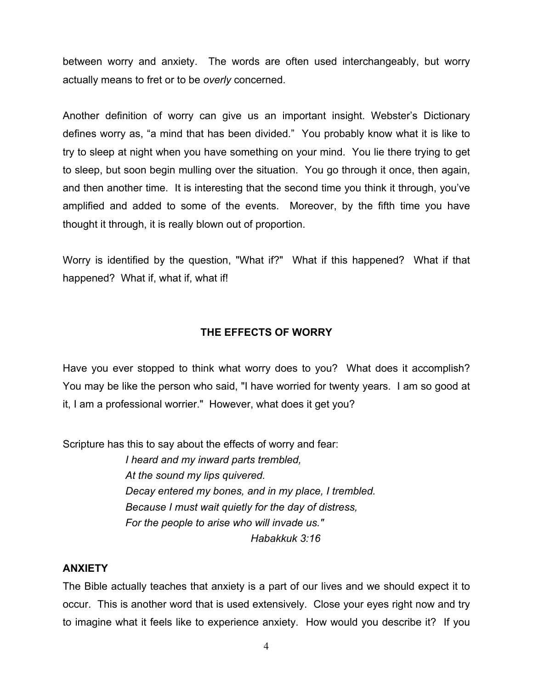between worry and anxiety. The words are often used interchangeably, but worry actually means to fret or to be *overly* concerned.

Another definition of worry can give us an important insight. Webster's Dictionary defines worry as, "a mind that has been divided." You probably know what it is like to try to sleep at night when you have something on your mind. You lie there trying to get to sleep, but soon begin mulling over the situation. You go through it once, then again, and then another time. It is interesting that the second time you think it through, you've amplified and added to some of the events. Moreover, by the fifth time you have thought it through, it is really blown out of proportion.

Worry is identified by the question, "What if?" What if this happened? What if that happened? What if, what if, what if!

## **THE EFFECTS OF WORRY**

Have you ever stopped to think what worry does to you? What does it accomplish? You may be like the person who said, "I have worried for twenty years. I am so good at it, I am a professional worrier." However, what does it get you?

Scripture has this to say about the effects of worry and fear:

*I heard and my inward parts trembled, At the sound my lips quivered. Decay entered my bones, and in my place, I trembled. Because I must wait quietly for the day of distress, For the people to arise who will invade us." Habakkuk 3:16*

### **ANXIETY**

The Bible actually teaches that anxiety is a part of our lives and we should expect it to occur. This is another word that is used extensively. Close your eyes right now and try to imagine what it feels like to experience anxiety. How would you describe it? If you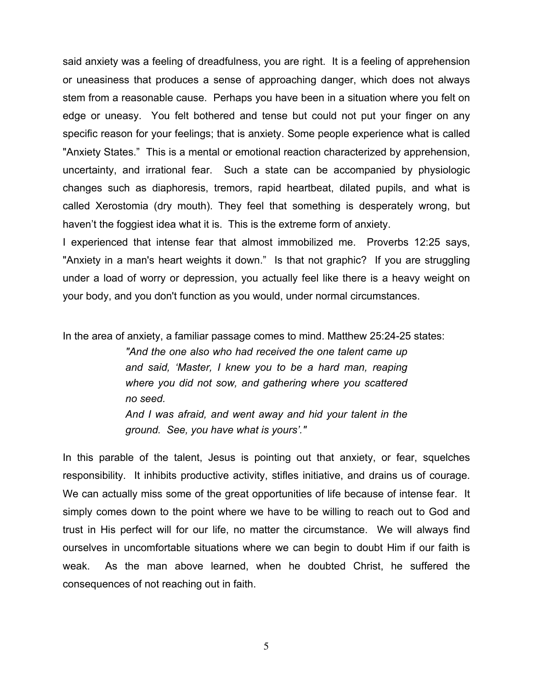said anxiety was a feeling of dreadfulness, you are right. It is a feeling of apprehension or uneasiness that produces a sense of approaching danger, which does not always stem from a reasonable cause. Perhaps you have been in a situation where you felt on edge or uneasy. You felt bothered and tense but could not put your finger on any specific reason for your feelings; that is anxiety. Some people experience what is called "Anxiety States." This is a mental or emotional reaction characterized by apprehension, uncertainty, and irrational fear. Such a state can be accompanied by physiologic changes such as diaphoresis, tremors, rapid heartbeat, dilated pupils, and what is called Xerostomia (dry mouth). They feel that something is desperately wrong, but haven't the foggiest idea what it is. This is the extreme form of anxiety.

I experienced that intense fear that almost immobilized me. Proverbs 12:25 says, "Anxiety in a man's heart weights it down." Is that not graphic? If you are struggling under a load of worry or depression, you actually feel like there is a heavy weight on your body, and you don't function as you would, under normal circumstances.

In the area of anxiety, a familiar passage comes to mind. Matthew 25:24-25 states:

*"And the one also who had received the one talent came up and said, 'Master, I knew you to be a hard man, reaping where you did not sow, and gathering where you scattered no seed. And I was afraid, and went away and hid your talent in the* 

*ground. See, you have what is yours'."*

In this parable of the talent, Jesus is pointing out that anxiety, or fear, squelches responsibility. It inhibits productive activity, stifles initiative, and drains us of courage. We can actually miss some of the great opportunities of life because of intense fear. It simply comes down to the point where we have to be willing to reach out to God and trust in His perfect will for our life, no matter the circumstance. We will always find ourselves in uncomfortable situations where we can begin to doubt Him if our faith is weak. As the man above learned, when he doubted Christ, he suffered the consequences of not reaching out in faith.

5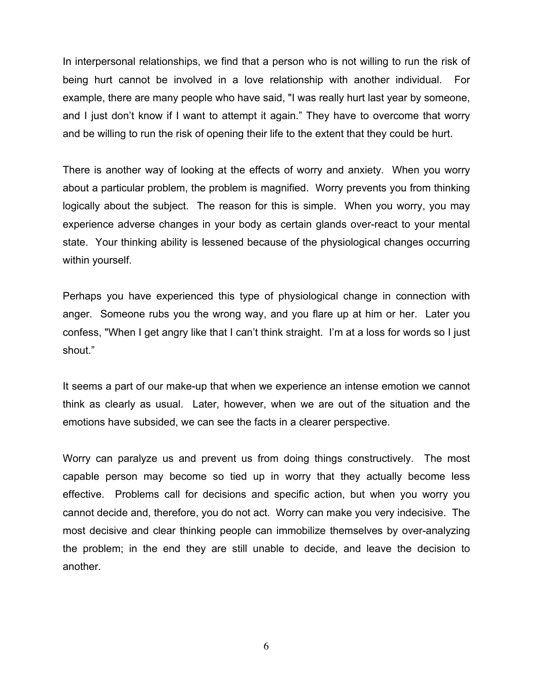In interpersonal relationships, we find that a person who is not willing to run the risk of being hurt cannot be involved in a love relationship with another individual. For example, there are many people who have said, "I was really hurt last year by someone, and I just don't know if I want to attempt it again." They have to overcome that worry and be willing to run the risk of opening their life to the extent that they could be hurt.

There is another way of looking at the effects of worry and anxiety. When you worry about a particular problem, the problem is magnified. Worry prevents you from thinking logically about the subject. The reason for this is simple. When you worry, you may experience adverse changes in your body as certain glands over-react to your mental state. Your thinking ability is lessened because of the physiological changes occurring within yourself.

Perhaps you have experienced this type of physiological change in connection with anger. Someone rubs you the wrong way, and you flare up at him or her. Later you confess, "When I get angry like that I can't think straight. I'm at a loss for words so I just shout."

It seems a part of our make-up that when we experience an intense emotion we cannot think as clearly as usual. Later, however, when we are out of the situation and the emotions have subsided, we can see the facts in a clearer perspective.

Worry can paralyze us and prevent us from doing things constructively. The most capable person may become so tied up in worry that they actually become less effective. Problems call for decisions and specific action, but when you worry you cannot decide and, therefore, you do not act. Worry can make you very indecisive. The most decisive and clear thinking people can immobilize themselves by over-analyzing the problem; in the end they are still unable to decide, and leave the decision to another.

6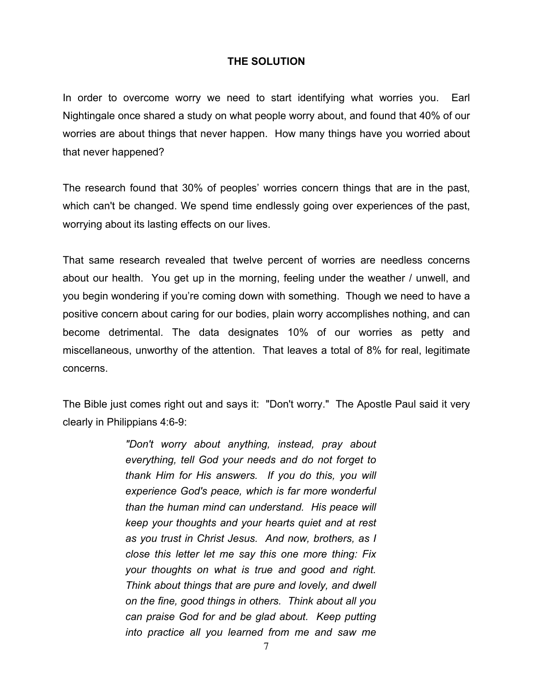## **THE SOLUTION**

In order to overcome worry we need to start identifying what worries you. Earl Nightingale once shared a study on what people worry about, and found that 40% of our worries are about things that never happen. How many things have you worried about that never happened?

The research found that 30% of peoples' worries concern things that are in the past, which can't be changed. We spend time endlessly going over experiences of the past, worrying about its lasting effects on our lives.

That same research revealed that twelve percent of worries are needless concerns about our health. You get up in the morning, feeling under the weather / unwell, and you begin wondering if you're coming down with something. Though we need to have a positive concern about caring for our bodies, plain worry accomplishes nothing, and can become detrimental. The data designates 10% of our worries as petty and miscellaneous, unworthy of the attention. That leaves a total of 8% for real, legitimate concerns.

The Bible just comes right out and says it: "Don't worry." The Apostle Paul said it very clearly in Philippians 4:6-9:

> *"Don't worry about anything, instead, pray about everything, tell God your needs and do not forget to thank Him for His answers. If you do this, you will experience God's peace, which is far more wonderful than the human mind can understand. His peace will keep your thoughts and your hearts quiet and at rest as you trust in Christ Jesus. And now, brothers, as I close this letter let me say this one more thing: Fix your thoughts on what is true and good and right. Think about things that are pure and lovely, and dwell on the fine, good things in others. Think about all you can praise God for and be glad about. Keep putting into practice all you learned from me and saw me*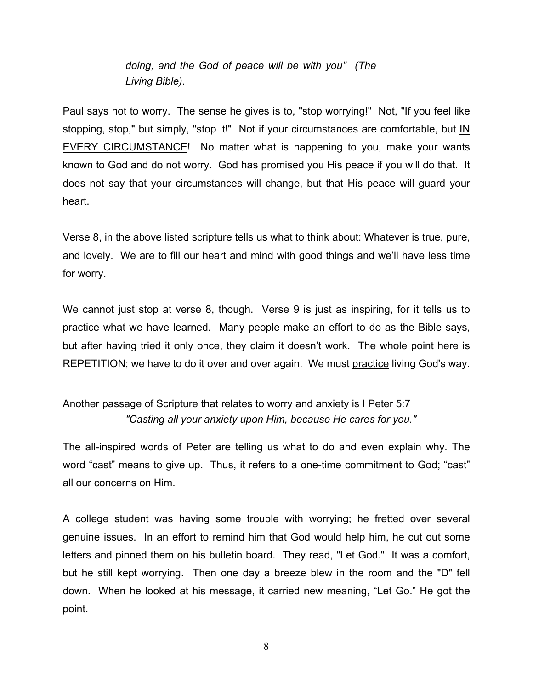*doing, and the God of peace will be with you" (The Living Bible).*

Paul says not to worry. The sense he gives is to, "stop worrying!" Not, "If you feel like stopping, stop," but simply, "stop it!" Not if your circumstances are comfortable, but  $\underline{\mathsf{IN}}$ EVERY CIRCUMSTANCE! No matter what is happening to you, make your wants known to God and do not worry. God has promised you His peace if you will do that. It does not say that your circumstances will change, but that His peace will guard your heart.

Verse 8, in the above listed scripture tells us what to think about: Whatever is true, pure, and lovely. We are to fill our heart and mind with good things and we'll have less time for worry.

We cannot just stop at verse 8, though. Verse 9 is just as inspiring, for it tells us to practice what we have learned. Many people make an effort to do as the Bible says, but after having tried it only once, they claim it doesn't work. The whole point here is REPETITION; we have to do it over and over again. We must practice living God's way.

## Another passage of Scripture that relates to worry and anxiety is I Peter 5:7 *"Casting all your anxiety upon Him, because He cares for you."*

The all-inspired words of Peter are telling us what to do and even explain why. The word "cast" means to give up. Thus, it refers to a one-time commitment to God; "cast" all our concerns on Him.

A college student was having some trouble with worrying; he fretted over several genuine issues. In an effort to remind him that God would help him, he cut out some letters and pinned them on his bulletin board. They read, "Let God." It was a comfort, but he still kept worrying. Then one day a breeze blew in the room and the "D" fell down. When he looked at his message, it carried new meaning, "Let Go." He got the point.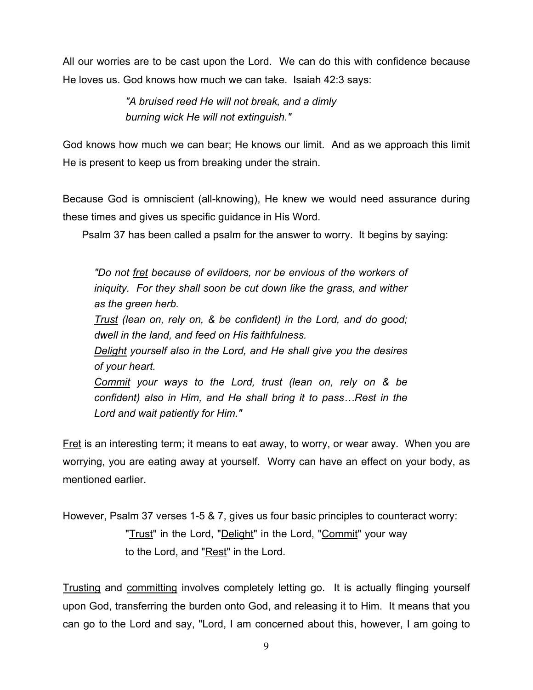All our worries are to be cast upon the Lord. We can do this with confidence because He loves us. God knows how much we can take. Isaiah 42:3 says:

> *"A bruised reed He will not break, and a dimly burning wick He will not extinguish."*

God knows how much we can bear; He knows our limit. And as we approach this limit He is present to keep us from breaking under the strain.

Because God is omniscient (all-knowing), He knew we would need assurance during these times and gives us specific guidance in His Word.

Psalm 37 has been called a psalm for the answer to worry. It begins by saying:

*"Do not fret because of evildoers, nor be envious of the workers of iniquity. For they shall soon be cut down like the grass, and wither as the green herb. Trust (lean on, rely on, & be confident) in the Lord, and do good; dwell in the land, and feed on His faithfulness. Delight yourself also in the Lord, and He shall give you the desires of your heart. Commit your ways to the Lord, trust (lean on, rely on & be confident) also in Him, and He shall bring it to pass…Rest in the Lord and wait patiently for Him."*

Fret is an interesting term; it means to eat away, to worry, or wear away. When you are worrying, you are eating away at yourself. Worry can have an effect on your body, as mentioned earlier.

However, Psalm 37 verses 1-5 & 7, gives us four basic principles to counteract worry: "Trust" in the Lord, "Delight" in the Lord, "Commit" your way to the Lord, and "Rest" in the Lord.

Trusting and committing involves completely letting go. It is actually flinging yourself upon God, transferring the burden onto God, and releasing it to Him. It means that you can go to the Lord and say, "Lord, I am concerned about this, however, I am going to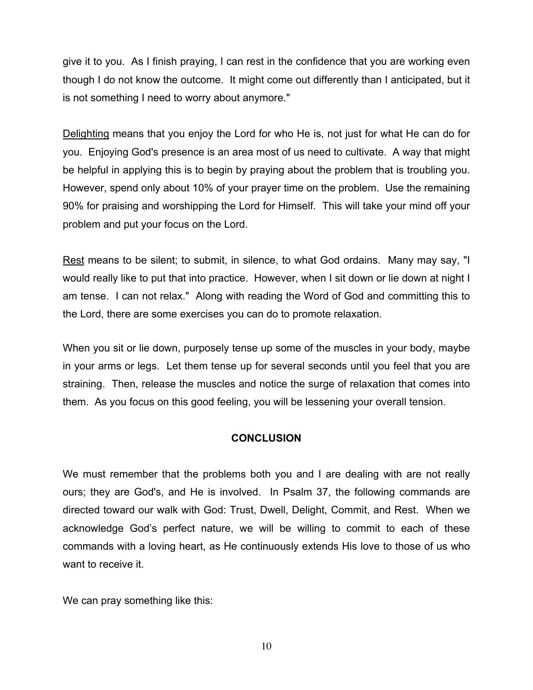give it to you. As I finish praying, I can rest in the confidence that you are working even though I do not know the outcome. It might come out differently than I anticipated, but it is not something I need to worry about anymore."

Delighting means that you enjoy the Lord for who He is, not just for what He can do for you. Enjoying God's presence is an area most of us need to cultivate. A way that might be helpful in applying this is to begin by praying about the problem that is troubling you. However, spend only about 10% of your prayer time on the problem. Use the remaining 90% for praising and worshipping the Lord for Himself. This will take your mind off your problem and put your focus on the Lord.

Rest means to be silent; to submit, in silence, to what God ordains. Many may say, "I would really like to put that into practice. However, when I sit down or lie down at night I am tense. I can not relax." Along with reading the Word of God and committing this to the Lord, there are some exercises you can do to promote relaxation.

When you sit or lie down, purposely tense up some of the muscles in your body, maybe in your arms or legs. Let them tense up for several seconds until you feel that you are straining. Then, release the muscles and notice the surge of relaxation that comes into them. As you focus on this good feeling, you will be lessening your overall tension.

## **CONCLUSION**

We must remember that the problems both you and I are dealing with are not really ours; they are God's, and He is involved. In Psalm 37, the following commands are directed toward our walk with God: Trust, Dwell, Delight, Commit, and Rest. When we acknowledge God's perfect nature, we will be willing to commit to each of these commands with a loving heart, as He continuously extends His love to those of us who want to receive it.

We can pray something like this: